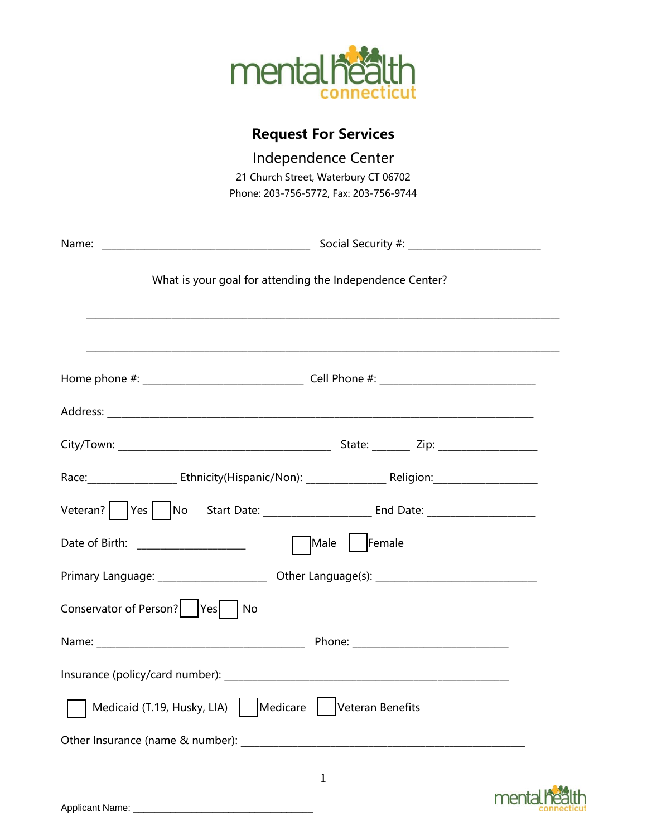

# **Request For Services**

| Independence Center                                       |
|-----------------------------------------------------------|
| 21 Church Street, Waterbury CT 06702                      |
| Phone: 203-756-5772, Fax: 203-756-9744                    |
|                                                           |
|                                                           |
| What is your goal for attending the Independence Center?  |
|                                                           |
|                                                           |
|                                                           |
|                                                           |
|                                                           |
|                                                           |
| Male   Female<br>Date of Birth: ______________________    |
|                                                           |
| Conservator of Person?<br> Yes <br>No                     |
|                                                           |
|                                                           |
| Medicaid (T.19, Husky, LIA)   Medicare   Veteran Benefits |
|                                                           |

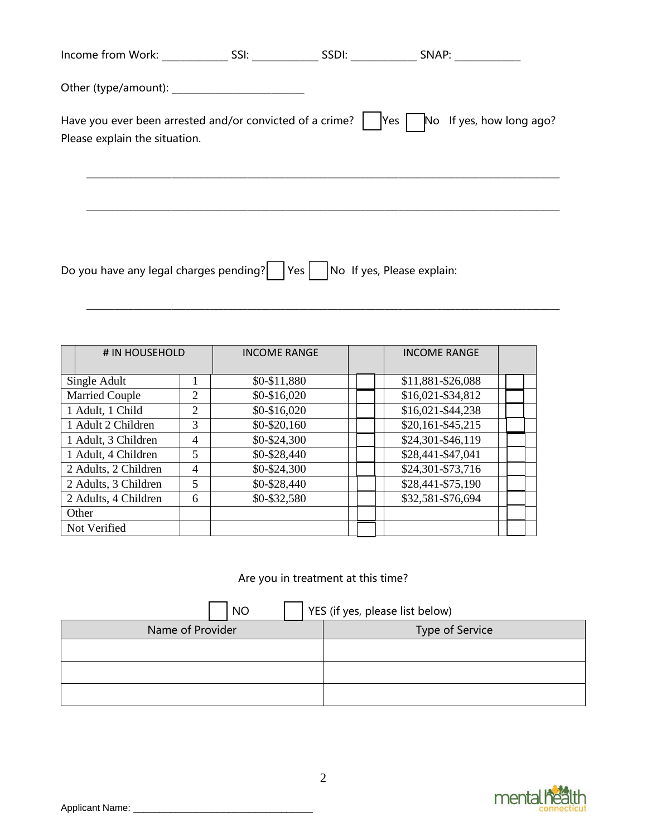| Income from Work: SSI:                                                                               |                                      | SSDI: SNAP:              |  |
|------------------------------------------------------------------------------------------------------|--------------------------------------|--------------------------|--|
|                                                                                                      |                                      |                          |  |
| Have you ever been arrested and/or convicted of a crime? $ $  Yes  <br>Please explain the situation. |                                      | No If yes, how long ago? |  |
|                                                                                                      |                                      |                          |  |
|                                                                                                      |                                      |                          |  |
| Do you have any legal charges pending?                                                               | Yes       No If yes, Please explain: |                          |  |

 $\mathcal{L}_\mathcal{L} = \mathcal{L}_\mathcal{L} = \mathcal{L}_\mathcal{L} = \mathcal{L}_\mathcal{L} = \mathcal{L}_\mathcal{L} = \mathcal{L}_\mathcal{L} = \mathcal{L}_\mathcal{L} = \mathcal{L}_\mathcal{L} = \mathcal{L}_\mathcal{L} = \mathcal{L}_\mathcal{L} = \mathcal{L}_\mathcal{L} = \mathcal{L}_\mathcal{L} = \mathcal{L}_\mathcal{L} = \mathcal{L}_\mathcal{L} = \mathcal{L}_\mathcal{L} = \mathcal{L}_\mathcal{L} = \mathcal{L}_\mathcal{L}$ 

| # IN HOUSEHOLD        |                | <b>INCOME RANGE</b> | <b>INCOME RANGE</b> |  |
|-----------------------|----------------|---------------------|---------------------|--|
| Single Adult          |                | \$0-\$11,880        | \$11,881-\$26,088   |  |
| <b>Married Couple</b> | $\overline{2}$ | $$0-$16,020$        | \$16,021-\$34,812   |  |
| 1 Adult, 1 Child      | 2              | \$0-\$16,020        | \$16,021-\$44,238   |  |
| 1 Adult 2 Children    | 3              | $$0 - $20,160$      | \$20,161-\$45,215   |  |
| 1 Adult, 3 Children   | 4              | $$0 - $24,300$      | \$24,301-\$46,119   |  |
| 1 Adult, 4 Children   | 5              | \$0-\$28,440        | \$28,441-\$47,041   |  |
| 2 Adults, 2 Children  | $\overline{4}$ | \$0-\$24,300        | \$24,301-\$73,716   |  |
| 2 Adults, 3 Children  | 5              | \$0-\$28,440        | \$28,441-\$75,190   |  |
| 2 Adults, 4 Children  | 6              | \$0-\$32,580        | \$32,581-\$76,694   |  |
| Other                 |                |                     |                     |  |
| Not Verified          |                |                     |                     |  |

# Are you in treatment at this time?

| NO               | YES (if yes, please list below) |
|------------------|---------------------------------|
| Name of Provider | Type of Service                 |
|                  |                                 |
|                  |                                 |
|                  |                                 |

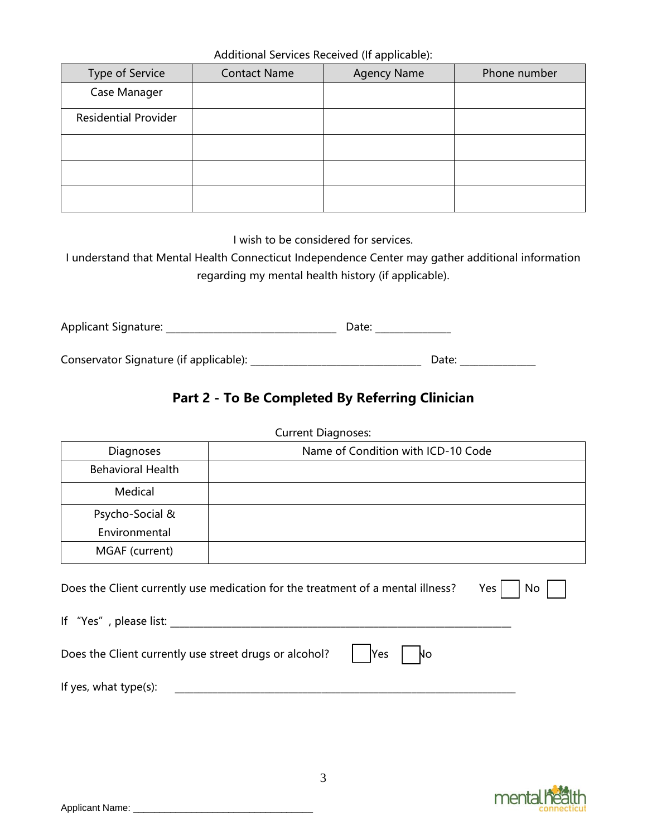Additional Services Received (If applicable):

|                             |                     | $\sim$ $\sim$ $\sim$ |              |
|-----------------------------|---------------------|----------------------|--------------|
| Type of Service             | <b>Contact Name</b> | <b>Agency Name</b>   | Phone number |
| Case Manager                |                     |                      |              |
| <b>Residential Provider</b> |                     |                      |              |
|                             |                     |                      |              |
|                             |                     |                      |              |
|                             |                     |                      |              |

I wish to be considered for services.

I understand that Mental Health Connecticut Independence Center may gather additional information regarding my mental health history (if applicable).

Applicant Signature: \_\_\_\_\_\_\_\_\_\_\_\_\_\_\_\_\_\_\_\_\_\_\_\_\_\_\_\_\_\_\_\_\_\_\_\_ Date: \_\_\_\_\_\_\_\_\_\_\_\_\_\_\_\_

Conservator Signature (if applicable): <br>
Date: Date: Date: 2014

## **Part 2 - To Be Completed By Referring Clinician**

Current Diagnoses:

| <b>Diagnoses</b>         | Name of Condition with ICD-10 Code                                              |           |
|--------------------------|---------------------------------------------------------------------------------|-----------|
| <b>Behavioral Health</b> |                                                                                 |           |
| Medical                  |                                                                                 |           |
| Psycho-Social &          |                                                                                 |           |
| Environmental            |                                                                                 |           |
| MGAF (current)           |                                                                                 |           |
|                          | Does the Client currently use medication for the treatment of a mental illness? | Yes<br>No |

If "Yes", please list: Does the Client currently use street drugs or alcohol?  $\begin{vmatrix} \n\end{vmatrix}$   $\begin{vmatrix} \n\end{vmatrix}$   $\begin{vmatrix} \n\end{vmatrix}$   $\begin{vmatrix} \n\end{vmatrix}$   $\begin{vmatrix} \n\end{vmatrix}$   $\begin{vmatrix} \n\end{vmatrix}$   $\begin{vmatrix} \n\end{vmatrix}$   $\begin{vmatrix} \n\end{vmatrix}$   $\begin{vmatrix} \n\end{vmatrix}$   $\begin{vmatrix} \n\end{vm$ 

If yes, what type(s):  $\blacksquare$